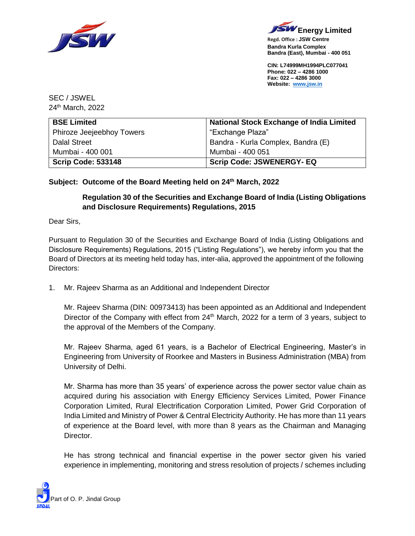



**Regd. Office : JSW Centre Bandra Kurla Complex Bandra (East), Mumbai - 400 051**

**CIN: L74999MH1994PLC077041 Phone: 022 – 4286 1000 Fax: 022 – 4286 3000 Website: [www.jsw.in](http://www.jsw.in/)**

SEC / JSWEL 24th March, 2022

| <b>BSE Limited</b>        | <b>National Stock Exchange of India Limited</b> |
|---------------------------|-------------------------------------------------|
| Phiroze Jeejeebhoy Towers | "Exchange Plaza"                                |
| <b>Dalal Street</b>       | Bandra - Kurla Complex, Bandra (E)              |
| Mumbai - 400 001          | Mumbai - 400 051                                |
| <b>Scrip Code: 533148</b> | <b>Scrip Code: JSWENERGY- EQ</b>                |

## **Subject: Outcome of the Board Meeting held on 24th March, 2022**

## **Regulation 30 of the Securities and Exchange Board of India (Listing Obligations and Disclosure Requirements) Regulations, 2015**

Dear Sirs,

Pursuant to Regulation 30 of the Securities and Exchange Board of India (Listing Obligations and Disclosure Requirements) Regulations, 2015 ("Listing Regulations"), we hereby inform you that the Board of Directors at its meeting held today has, inter-alia, approved the appointment of the following Directors:

1. Mr. Rajeev Sharma as an Additional and Independent Director

Mr. Rajeev Sharma (DIN: 00973413) has been appointed as an Additional and Independent Director of the Company with effect from 24<sup>th</sup> March, 2022 for a term of 3 years, subject to the approval of the Members of the Company.

Mr. Rajeev Sharma, aged 61 years, is a Bachelor of Electrical Engineering, Master's in Engineering from University of Roorkee and Masters in Business Administration (MBA) from University of Delhi.

Mr. Sharma has more than 35 years' of experience across the power sector value chain as acquired during his association with Energy Efficiency Services Limited, Power Finance Corporation Limited, Rural Electrification Corporation Limited, Power Grid Corporation of India Limited and Ministry of Power & Central Electricity Authority. He has more than 11 years of experience at the Board level, with more than 8 years as the Chairman and Managing Director.

He has strong technical and financial expertise in the power sector given his varied experience in implementing, monitoring and stress resolution of projects / schemes including

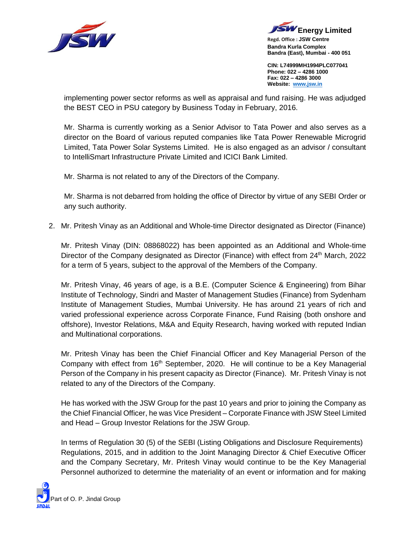



**Regd. Office : JSW Centre Bandra Kurla Complex Bandra (East), Mumbai - 400 051**

**CIN: L74999MH1994PLC077041 Phone: 022 – 4286 1000 Fax: 022 – 4286 3000 Website: [www.jsw.in](http://www.jsw.in/)**

implementing power sector reforms as well as appraisal and fund raising. He was adjudged the BEST CEO in PSU category by Business Today in February, 2016.

Mr. Sharma is currently working as a Senior Advisor to Tata Power and also serves as a director on the Board of various reputed companies like Tata Power Renewable Microgrid Limited, Tata Power Solar Systems Limited. He is also engaged as an advisor / consultant to IntelliSmart Infrastructure Private Limited and ICICI Bank Limited.

Mr. Sharma is not related to any of the Directors of the Company.

Mr. Sharma is not debarred from holding the office of Director by virtue of any SEBI Order or any such authority.

2. Mr. Pritesh Vinay as an Additional and Whole-time Director designated as Director (Finance)

Mr. Pritesh Vinay (DIN: 08868022) has been appointed as an Additional and Whole-time Director of the Company designated as Director (Finance) with effect from 24<sup>th</sup> March, 2022 for a term of 5 years, subject to the approval of the Members of the Company.

Mr. Pritesh Vinay, 46 years of age, is a B.E. (Computer Science & Engineering) from Bihar Institute of Technology, Sindri and Master of Management Studies (Finance) from Sydenham Institute of Management Studies, Mumbai University. He has around 21 years of rich and varied professional experience across Corporate Finance, Fund Raising (both onshore and offshore), Investor Relations, M&A and Equity Research, having worked with reputed Indian and Multinational corporations.

Mr. Pritesh Vinay has been the Chief Financial Officer and Key Managerial Person of the Company with effect from 16<sup>th</sup> September, 2020. He will continue to be a Key Managerial Person of the Company in his present capacity as Director (Finance). Mr. Pritesh Vinay is not related to any of the Directors of the Company.

He has worked with the JSW Group for the past 10 years and prior to joining the Company as the Chief Financial Officer, he was Vice President – Corporate Finance with JSW Steel Limited and Head – Group Investor Relations for the JSW Group.

In terms of Regulation 30 (5) of the SEBI (Listing Obligations and Disclosure Requirements) Regulations, 2015, and in addition to the Joint Managing Director & Chief Executive Officer and the Company Secretary, Mr. Pritesh Vinay would continue to be the Key Managerial Personnel authorized to determine the materiality of an event or information and for making